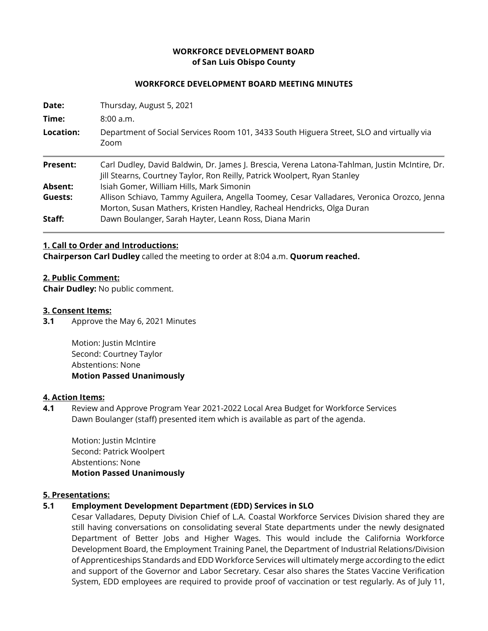# **WORKFORCE DEVELOPMENT BOARD of San Luis Obispo County**

### **WORKFORCE DEVELOPMENT BOARD MEETING MINUTES**

| Date:           | Thursday, August 5, 2021                                                                                                                                                   |
|-----------------|----------------------------------------------------------------------------------------------------------------------------------------------------------------------------|
| Time:           | 8:00 a.m.                                                                                                                                                                  |
| Location:       | Department of Social Services Room 101, 3433 South Higuera Street, SLO and virtually via<br>Zoom                                                                           |
| <b>Present:</b> | Carl Dudley, David Baldwin, Dr. James J. Brescia, Verena Latona-Tahlman, Justin McIntire, Dr.<br>Jill Stearns, Courtney Taylor, Ron Reilly, Patrick Woolpert, Ryan Stanley |
| Absent:         | Isiah Gomer, William Hills, Mark Simonin                                                                                                                                   |
| Guests:         | Allison Schiavo, Tammy Aguilera, Angella Toomey, Cesar Valladares, Veronica Orozco, Jenna<br>Morton, Susan Mathers, Kristen Handley, Racheal Hendricks, Olga Duran         |
| Staff:          | Dawn Boulanger, Sarah Hayter, Leann Ross, Diana Marin                                                                                                                      |

#### **1. Call to Order and Introductions:**

**Chairperson Carl Dudley** called the meeting to order at 8:04 a.m. **Quorum reached.**

#### **2. Public Comment:**

**Chair Dudley:** No public comment.

#### **3. Consent Items:**

**3.1** Approve the May 6, 2021 Minutes

Motion: Justin McIntire Second: Courtney Taylor Abstentions: None **Motion Passed Unanimously** 

#### **4. Action Items:**

**4.1** Review and Approve Program Year 2021-2022 Local Area Budget for Workforce Services Dawn Boulanger (staff) presented item which is available as part of the agenda.

Motion: Justin McIntire Second: Patrick Woolpert Abstentions: None **Motion Passed Unanimously**

### **5. Presentations:**

### **5.1 Employment Development Department (EDD) Services in SLO**

Cesar Valladares, Deputy Division Chief of L.A. Coastal Workforce Services Division shared they are still having conversations on consolidating several State departments under the newly designated Department of Better Jobs and Higher Wages. This would include the California Workforce Development Board, the Employment Training Panel, the Department of Industrial Relations/Division of Apprenticeships Standards and EDD Workforce Services will ultimately merge according to the edict and support of the Governor and Labor Secretary. Cesar also shares the States Vaccine Verification System, EDD employees are required to provide proof of vaccination or test regularly. As of July 11,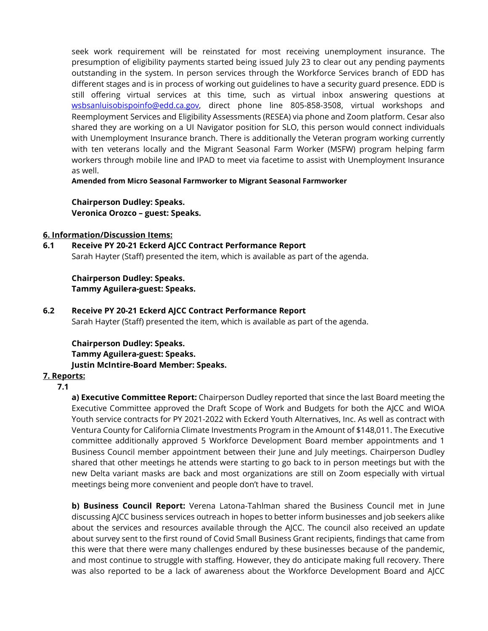seek work requirement will be reinstated for most receiving unemployment insurance. The presumption of eligibility payments started being issued July 23 to clear out any pending payments outstanding in the system. In person services through the Workforce Services branch of EDD has different stages and is in process of working out guidelines to have a security guard presence. EDD is still offering virtual services at this time, such as virtual inbox answering questions at [wsbsanluisobispoinfo@edd.ca.gov,](mailto:wsbsanluisobispoinfo@edd.ca.gov) direct phone line 805-858-3508, virtual workshops and Reemployment Services and Eligibility Assessments (RESEA) via phone and Zoom platform. Cesar also shared they are working on a UI Navigator position for SLO, this person would connect individuals with Unemployment Insurance branch. There is additionally the Veteran program working currently with ten veterans locally and the Migrant Seasonal Farm Worker (MSFW) program helping farm workers through mobile line and IPAD to meet via facetime to assist with Unemployment Insurance as well.

**Amended from Micro Seasonal Farmworker to Migrant Seasonal Farmworker**

**Chairperson Dudley: Speaks. Veronica Orozco – guest: Speaks.**

### **6. Information/Discussion Items:**

**6.1 Receive PY 20-21 Eckerd AJCC Contract Performance Report** Sarah Hayter (Staff) presented the item, which is available as part of the agenda.

**Chairperson Dudley: Speaks. Tammy Aguilera-guest: Speaks.**

**6.2 Receive PY 20-21 Eckerd AJCC Contract Performance Report** Sarah Hayter (Staff) presented the item, which is available as part of the agenda.

**Chairperson Dudley: Speaks. Tammy Aguilera-guest: Speaks. Justin McIntire-Board Member: Speaks.**

# **7. Reports:**

# **7.1**

**a) Executive Committee Report:** Chairperson Dudley reported that since the last Board meeting the Executive Committee approved the Draft Scope of Work and Budgets for both the AJCC and WIOA Youth service contracts for PY 2021-2022 with Eckerd Youth Alternatives, Inc. As well as contract with Ventura County for California Climate Investments Program in the Amount of \$148,011. The Executive committee additionally approved 5 Workforce Development Board member appointments and 1 Business Council member appointment between their June and July meetings. Chairperson Dudley shared that other meetings he attends were starting to go back to in person meetings but with the new Delta variant masks are back and most organizations are still on Zoom especially with virtual meetings being more convenient and people don't have to travel.

**b) Business Council Report:** Verena Latona-Tahlman shared the Business Council met in June discussing AJCC business services outreach in hopes to better inform businesses and job seekers alike about the services and resources available through the AJCC. The council also received an update about survey sent to the first round of Covid Small Business Grant recipients, findings that came from this were that there were many challenges endured by these businesses because of the pandemic, and most continue to struggle with staffing. However, they do anticipate making full recovery. There was also reported to be a lack of awareness about the Workforce Development Board and AJCC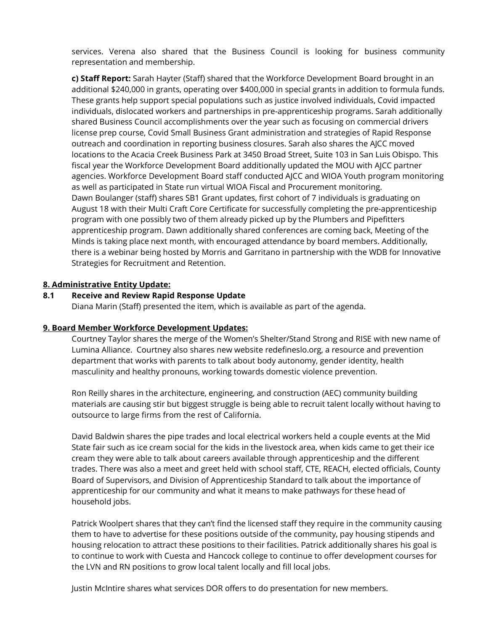services. Verena also shared that the Business Council is looking for business community representation and membership.

**c) Staff Report:** Sarah Hayter (Staff) shared that the Workforce Development Board brought in an additional \$240,000 in grants, operating over \$400,000 in special grants in addition to formula funds. These grants help support special populations such as justice involved individuals, Covid impacted individuals, dislocated workers and partnerships in pre-apprenticeship programs. Sarah additionally shared Business Council accomplishments over the year such as focusing on commercial drivers license prep course, Covid Small Business Grant administration and strategies of Rapid Response outreach and coordination in reporting business closures. Sarah also shares the AJCC moved locations to the Acacia Creek Business Park at 3450 Broad Street, Suite 103 in San Luis Obispo. This fiscal year the Workforce Development Board additionally updated the MOU with AJCC partner agencies. Workforce Development Board staff conducted AJCC and WIOA Youth program monitoring as well as participated in State run virtual WIOA Fiscal and Procurement monitoring. Dawn Boulanger (staff) shares SB1 Grant updates, first cohort of 7 individuals is graduating on August 18 with their Multi Craft Core Certificate for successfully completing the pre-apprenticeship program with one possibly two of them already picked up by the Plumbers and Pipefitters apprenticeship program. Dawn additionally shared conferences are coming back, Meeting of the Minds is taking place next month, with encouraged attendance by board members. Additionally, there is a webinar being hosted by Morris and Garritano in partnership with the WDB for Innovative Strategies for Recruitment and Retention.

# **8. Administrative Entity Update:**

### **8.1 Receive and Review Rapid Response Update**

Diana Marin (Staff) presented the item, which is available as part of the agenda.

### **9. Board Member Workforce Development Updates:**

Courtney Taylor shares the merge of the Women's Shelter/Stand Strong and RISE with new name of Lumina Alliance. Courtney also shares new website redefineslo.org, a resource and prevention department that works with parents to talk about body autonomy, gender identity, health masculinity and healthy pronouns, working towards domestic violence prevention.

Ron Reilly shares in the architecture, engineering, and construction (AEC) community building materials are causing stir but biggest struggle is being able to recruit talent locally without having to outsource to large firms from the rest of California.

David Baldwin shares the pipe trades and local electrical workers held a couple events at the Mid State fair such as ice cream social for the kids in the livestock area, when kids came to get their ice cream they were able to talk about careers available through apprenticeship and the different trades. There was also a meet and greet held with school staff, CTE, REACH, elected officials, County Board of Supervisors, and Division of Apprenticeship Standard to talk about the importance of apprenticeship for our community and what it means to make pathways for these head of household jobs.

Patrick Woolpert shares that they can't find the licensed staff they require in the community causing them to have to advertise for these positions outside of the community, pay housing stipends and housing relocation to attract these positions to their facilities. Patrick additionally shares his goal is to continue to work with Cuesta and Hancock college to continue to offer development courses for the LVN and RN positions to grow local talent locally and fill local jobs.

Justin McIntire shares what services DOR offers to do presentation for new members.